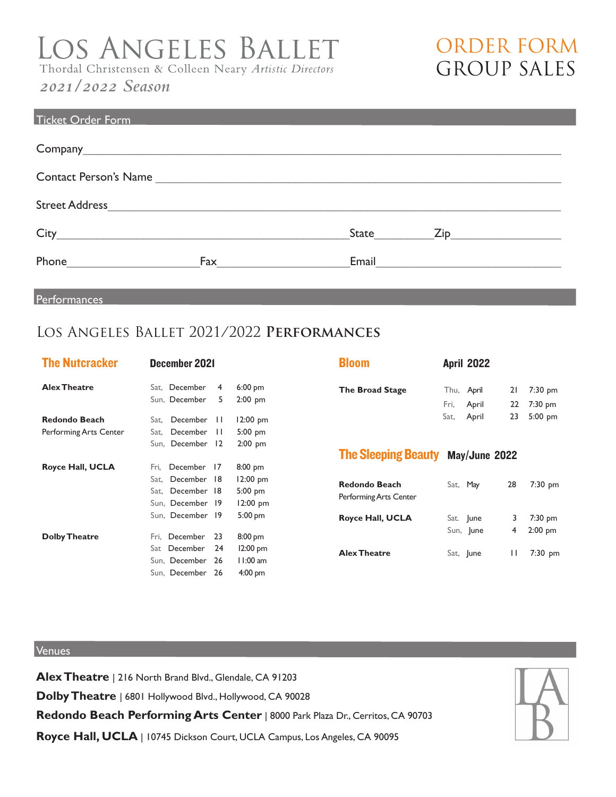# LOS ANGELES BALLET<br>Thordal Christensen & Colleen Neary Artistic Directors

# *2021/2022 Season*

| ORDER FORM         |  |
|--------------------|--|
| <b>GROUP SALES</b> |  |

| <b>Ticket Order Form</b>              |     |       |           |
|---------------------------------------|-----|-------|-----------|
|                                       |     |       |           |
| Contact Person's Name                 |     |       |           |
|                                       |     |       |           |
|                                       |     |       | State Zip |
| Phone<br><u> Alexandria (m. 1958)</u> | Fax | Email |           |

Performances

# Los Angeles Ballet 2021/2022 **Performances**

| <b>The Nutcracker</b>                   | December 2021                                                                                                                                                                  |  |  |  |  |
|-----------------------------------------|--------------------------------------------------------------------------------------------------------------------------------------------------------------------------------|--|--|--|--|
| <b>Alex Theatre</b>                     | Sat, December<br>$6:00$ pm<br>4<br>5<br>Sun, December<br>$2:00$ pm                                                                                                             |  |  |  |  |
| Redondo Beach<br>Performing Arts Center | December<br>$\mathbf{1}$<br>12:00 pm<br>Sat,<br>December<br>П<br>$5:00$ pm<br>Sat.<br>12<br>Sun, December<br>$2:00$ pm                                                         |  |  |  |  |
| Royce Hall, UCLA                        | December<br>8:00 pm<br>Fri.<br>17<br>December<br>12:00 pm<br>18<br>Sat,<br>5:00 pm<br>Sat. December<br>18<br>12:00 pm<br>Sun, December<br>19<br>5:00 pm<br>Sun, December<br>19 |  |  |  |  |
| <b>Dolby Theatre</b>                    | December<br>23<br>8:00 pm<br>Fri,<br>December<br>24<br>12:00 pm<br>Sat<br>11:00 am<br>Sun. December<br>26<br>$4:00$ pm<br>Sun, December<br>26                                  |  |  |  |  |

| <b>Bloom</b>           | <b>April 2022</b>                             |    |                                       |
|------------------------|-----------------------------------------------|----|---------------------------------------|
| <b>The Broad Stage</b> | Thu, <b>April</b><br>Fri, April<br>Sat, April | 23 | $21$ 7:30 pm<br>22 7:30 pm<br>5:00 pm |

## The Sleeping Beauty May/June 2022

| <b>Redondo Beach</b><br>Performing Arts Center | Sat, May               | 28 | $7:30$ pm              |
|------------------------------------------------|------------------------|----|------------------------|
| <b>Royce Hall, UCLA</b>                        | Sat. June<br>Sun, June | 4  | $7:30$ pm<br>$2:00$ pm |
| <b>Alex Theatre</b>                            | Sat, June              | ш  | 7:30 pm                |

## Venues

**Alex Theatre** | 216 North Brand Blvd., Glendale, CA 91203

**Dolby Theatre** | 6801 Hollywood Blvd., Hollywood, CA 90028

**Redondo Beach Performing Arts Center** | 8000 Park Plaza Dr., Cerritos, CA 90703

**Royce Hall, UCLA** | 10745 Dickson Court, UCLA Campus, Los Angeles, CA 90095

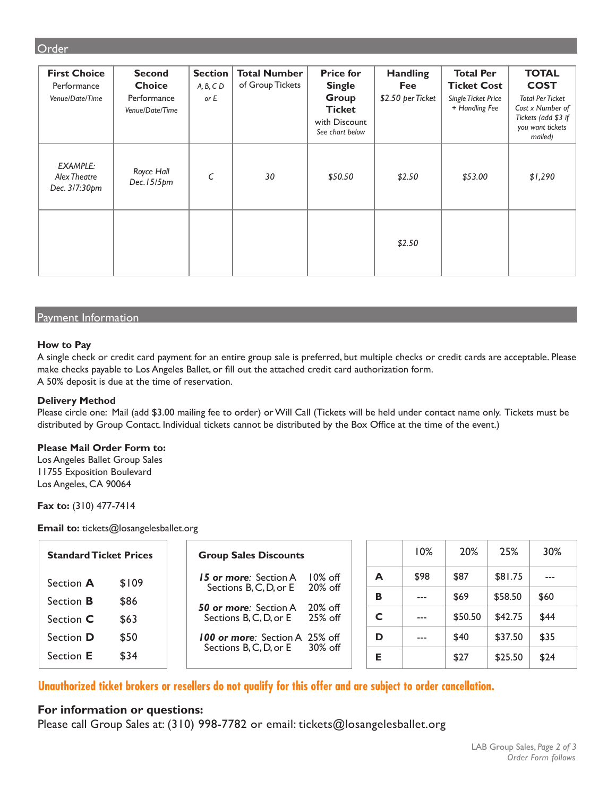### **Order**

| <b>First Choice</b><br>Performance<br>Venue/Date/Time | <b>Second</b><br><b>Choice</b><br>Performance<br>Venue/Date/Time | <b>Section</b><br>$A, B, C$ D<br>or E | <b>Total Number</b><br>of Group Tickets | <b>Price for</b><br><b>Single</b><br>Group<br><b>Ticket</b><br>with Discount<br>See chart below | <b>Handling</b><br>Fee<br>\$2.50 per Ticket | <b>Total Per</b><br><b>Ticket Cost</b><br><b>Single Ticket Price</b><br>+ Handling Fee | <b>TOTAL</b><br><b>COST</b><br><b>Total Per Ticket</b><br>Cost x Number of<br>Tickets (add \$3 if<br>you want tickets<br>mailed) |
|-------------------------------------------------------|------------------------------------------------------------------|---------------------------------------|-----------------------------------------|-------------------------------------------------------------------------------------------------|---------------------------------------------|----------------------------------------------------------------------------------------|----------------------------------------------------------------------------------------------------------------------------------|
| <b>EXAMPLE:</b><br>Alex Theatre<br>Dec. 3/7:30pm      | Royce Hall<br>Dec.15/5pm                                         | C                                     | 30                                      | \$50.50                                                                                         | \$2.50                                      | \$53.00                                                                                | \$1,290                                                                                                                          |
|                                                       |                                                                  |                                       |                                         |                                                                                                 | \$2.50                                      |                                                                                        |                                                                                                                                  |

#### Payment Information

#### **How to Pay**

A single check or credit card payment for an entire group sale is preferred, but multiple checks or credit cards are acceptable. Please make checks payable to Los Angeles Ballet, or fill out the attached credit card authorization form. A 50% deposit is due at the time of reservation.

#### **Delivery Method**

Please circle one: Mail (add \$3.00 mailing fee to order) or Will Call (Tickets will be held under contact name only. Tickets must be distributed by Group Contact. Individual tickets cannot be distributed by the Box Office at the time of the event.)

#### **Please Mail Order Form to:**

Los Angeles Ballet Group Sales 11755 Exposition Boulevard Los Angeles, CA 90064

**Fax to:** (310) 477-7414

**Email to:** tickets@losangelesballet.org

| <b>Standard Ticket Prices</b><br><b>Group Sales Discounts</b> |       |                                                                      |   | 10% | 20%     | 25%     | 30%     |      |
|---------------------------------------------------------------|-------|----------------------------------------------------------------------|---|-----|---------|---------|---------|------|
| Section A                                                     | \$109 | 10% off<br>15 or more: Section A<br>$20\%$ off                       |   | А   | \$98    | \$87    | \$81.75 |      |
| Section <b>B</b>                                              | \$86  | Sections B, C, D, or E<br>$20\%$ off<br><b>50 or more:</b> Section A |   | в   | $- - -$ | \$69    | \$58.50 | \$60 |
| Section <b>C</b>                                              | \$63  | Sections B, C, D, or E<br>$25%$ off                                  | C |     | $---$   | \$50.50 | \$42.75 | \$44 |
| Section <b>D</b>                                              | \$50  | <b>100 or more:</b> Section A 25% off                                |   | D   | ---     | \$40    | \$37.50 | \$35 |
| Section E                                                     | \$34  | $30\%$ off<br>Sections B, C, D, or E                                 |   | Е   |         | \$27    | \$25.50 | \$24 |

**Unauthorized ticket brokers or resellers do not qualify for this offer and are subject to order cancellation.**

## **For information or questions:**

Please call Group Sales at: (310) 998-7782 or email: tickets@losangelesballet.org